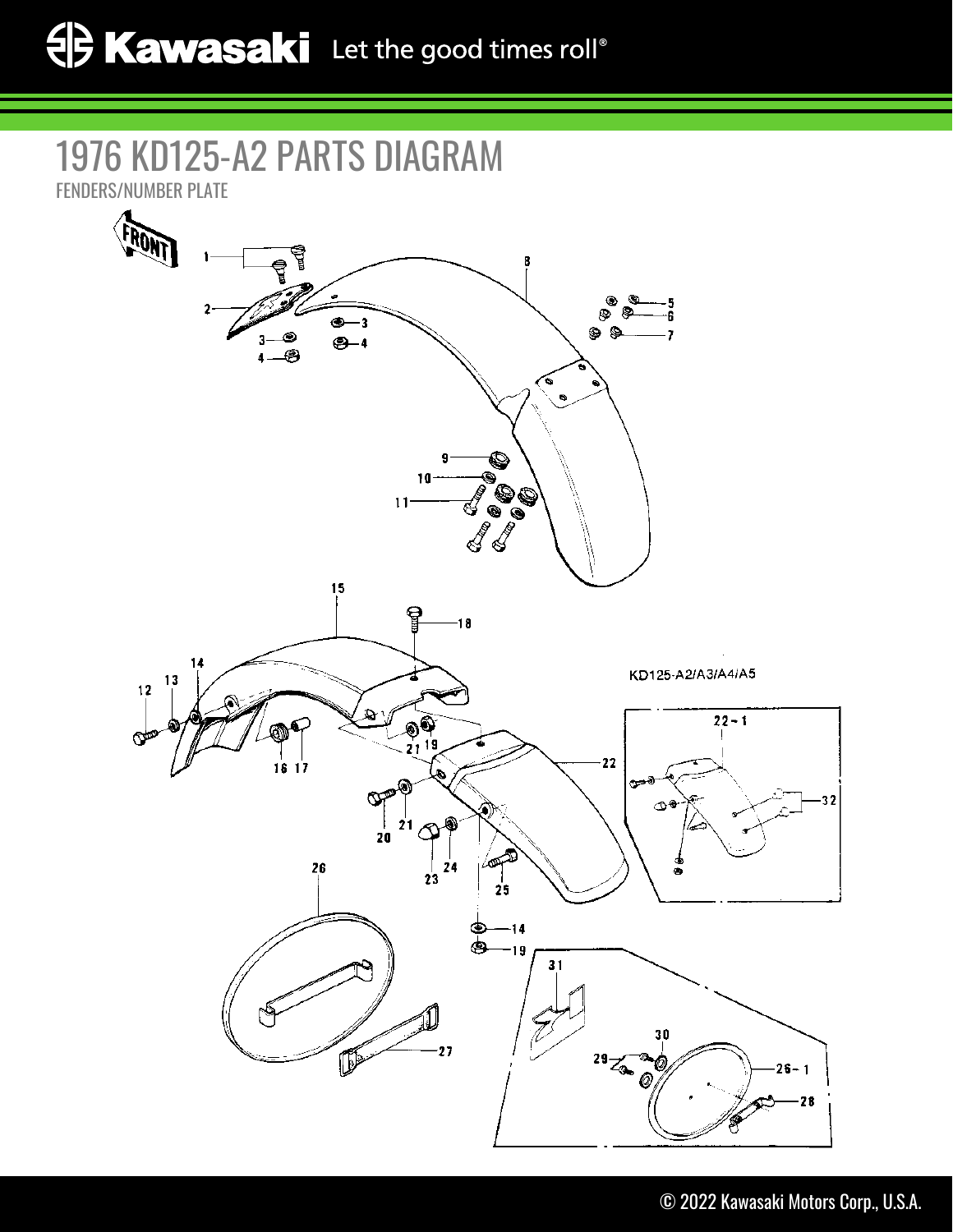## 1976 KD125-A2 PARTS DIAGRAM

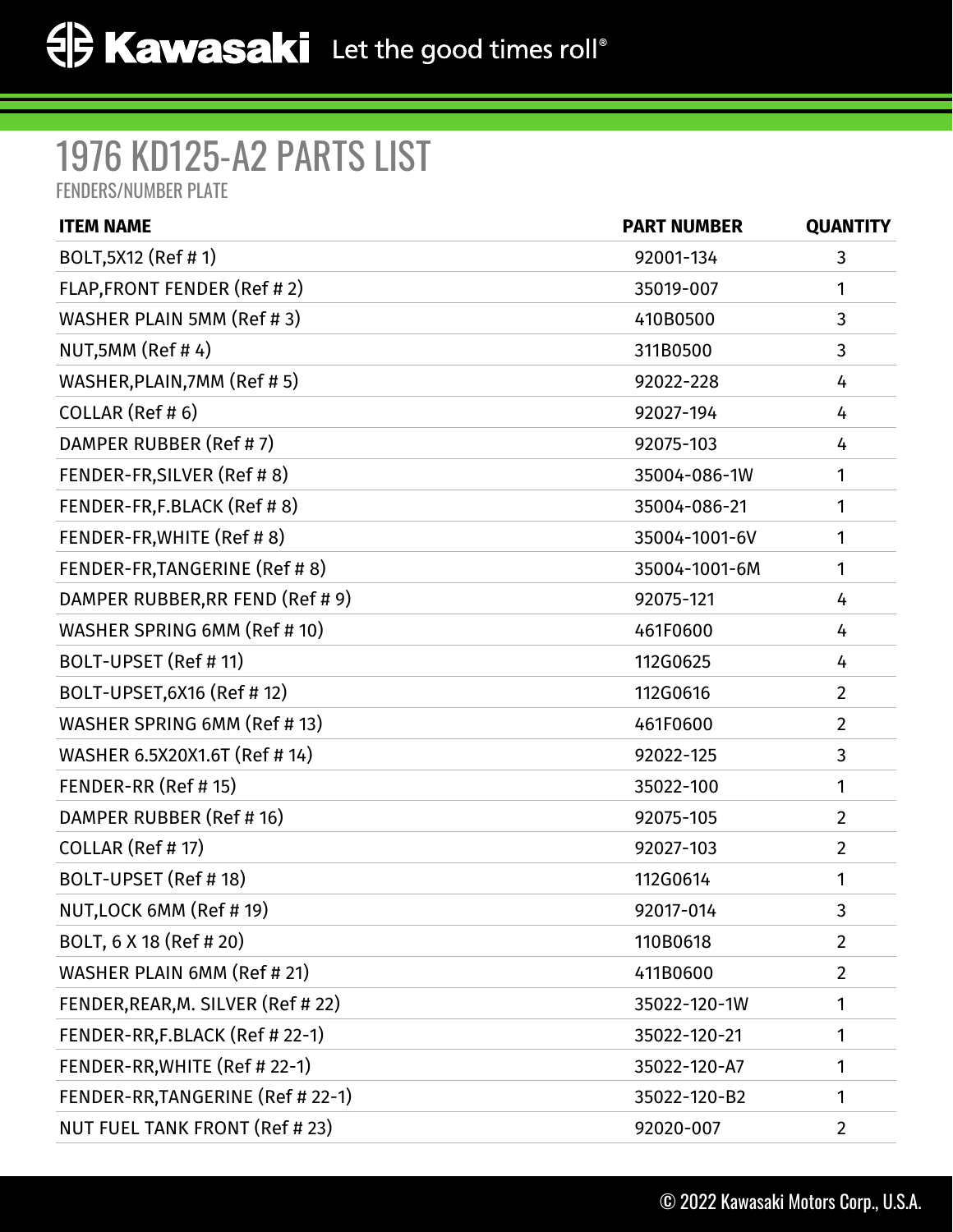## 1976 KD125-A2 PARTS LIST

FENDERS/NUMBER PLATE

| <b>ITEM NAME</b>                   | <b>PART NUMBER</b> | <b>QUANTITY</b> |
|------------------------------------|--------------------|-----------------|
| BOLT, 5X12 (Ref # 1)               | 92001-134          | 3               |
| FLAP, FRONT FENDER (Ref #2)        | 35019-007          | 1               |
| WASHER PLAIN 5MM (Ref #3)          | 410B0500           | 3               |
| NUT, 5MM (Ref #4)                  | 311B0500           | 3               |
| WASHER, PLAIN, 7MM (Ref #5)        | 92022-228          | 4               |
| COLLAR (Ref #6)                    | 92027-194          | 4               |
| DAMPER RUBBER (Ref #7)             | 92075-103          | 4               |
| FENDER-FR, SILVER (Ref # 8)        | 35004-086-1W       | 1               |
| FENDER-FR,F.BLACK (Ref #8)         | 35004-086-21       | 1               |
| FENDER-FR, WHITE (Ref #8)          | 35004-1001-6V      | 1               |
| FENDER-FR, TANGERINE (Ref #8)      | 35004-1001-6M      | 1               |
| DAMPER RUBBER, RR FEND (Ref # 9)   | 92075-121          | 4               |
| WASHER SPRING 6MM (Ref # 10)       | 461F0600           | 4               |
| BOLT-UPSET (Ref # 11)              | 112G0625           | 4               |
| BOLT-UPSET, 6X16 (Ref # 12)        | 112G0616           | $\overline{2}$  |
| WASHER SPRING 6MM (Ref # 13)       | 461F0600           | $\overline{2}$  |
| WASHER 6.5X20X1.6T (Ref # 14)      | 92022-125          | 3               |
| FENDER-RR (Ref # 15)               | 35022-100          | 1               |
| DAMPER RUBBER (Ref # 16)           | 92075-105          | $\overline{2}$  |
| COLLAR (Ref #17)                   | 92027-103          | $\overline{2}$  |
| BOLT-UPSET (Ref #18)               | 112G0614           | 1               |
| NUT, LOCK 6MM (Ref # 19)           | 92017-014          | 3               |
| BOLT, 6 X 18 (Ref # 20)            | 110B0618           | $\overline{2}$  |
| WASHER PLAIN 6MM (Ref # 21)        | 411B0600           | $\overline{2}$  |
| FENDER, REAR, M. SILVER (Ref # 22) | 35022-120-1W       | 1               |
| FENDER-RR,F.BLACK (Ref # 22-1)     | 35022-120-21       | 1               |
| FENDER-RR, WHITE (Ref # 22-1)      | 35022-120-A7       | 1               |
| FENDER-RR, TANGERINE (Ref # 22-1)  | 35022-120-B2       | 1               |
| NUT FUEL TANK FRONT (Ref # 23)     | 92020-007          | $\overline{2}$  |
|                                    |                    |                 |